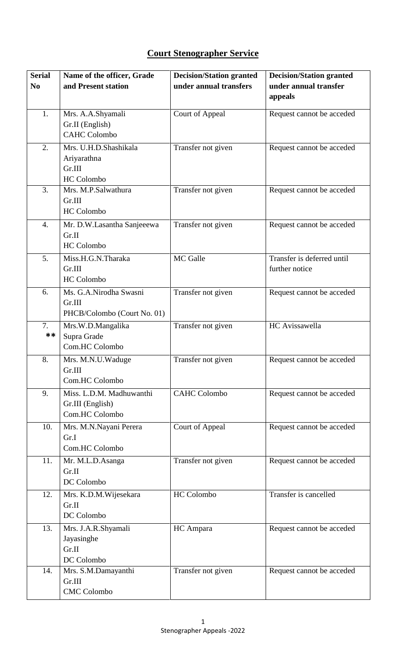## **Court Stenographer Service**

| <b>Serial</b><br>N <sub>0</sub> | Name of the officer, Grade<br>and Present station                   | <b>Decision/Station granted</b><br>under annual transfers | <b>Decision/Station granted</b><br>under annual transfer |
|---------------------------------|---------------------------------------------------------------------|-----------------------------------------------------------|----------------------------------------------------------|
|                                 |                                                                     |                                                           | appeals                                                  |
| 1.                              | Mrs. A.A.Shyamali<br>Gr.II (English)<br><b>CAHC Colombo</b>         | Court of Appeal                                           | Request cannot be acceded                                |
| 2.                              | Mrs. U.H.D.Shashikala<br>Ariyarathna<br>Gr.III<br><b>HC</b> Colombo | Transfer not given                                        | Request cannot be acceded                                |
| 3.                              | Mrs. M.P.Salwathura<br>Gr.III<br><b>HC</b> Colombo                  | Transfer not given                                        | Request cannot be acceded                                |
| 4.                              | Mr. D.W.Lasantha Sanjeeewa<br>Gr.II<br><b>HC</b> Colombo            | Transfer not given                                        | Request cannot be acceded                                |
| 5.                              | Miss.H.G.N.Tharaka<br>Gr.III<br><b>HC</b> Colombo                   | MC Galle                                                  | Transfer is deferred until<br>further notice             |
| 6.                              | Ms. G.A.Nirodha Swasni<br>Gr.III<br>PHCB/Colombo (Court No. 01)     | Transfer not given                                        | Request cannot be acceded                                |
| 7.<br>**                        | Mrs.W.D.Mangalika<br>Supra Grade<br>Com.HC Colombo                  | Transfer not given                                        | HC Avissawella                                           |
| 8.                              | Mrs. M.N.U.Waduge<br>Gr.III<br>Com.HC Colombo                       | Transfer not given                                        | Request cannot be acceded                                |
| 9.                              | Miss. L.D.M. Madhuwanthi<br>Gr.III (English)<br>Com.HC Colombo      | <b>CAHC Colombo</b>                                       | Request cannot be acceded                                |
| 10.                             | Mrs. M.N.Nayani Perera<br>Gr.I<br>Com.HC Colombo                    | <b>Court of Appeal</b>                                    | Request cannot be acceded                                |
| 11.                             | Mr. M.L.D.Asanga<br>Gr.II<br>DC Colombo                             | Transfer not given                                        | Request cannot be acceded                                |
| 12.                             | Mrs. K.D.M. Wijesekara<br>Gr.II<br>DC Colombo                       | <b>HC</b> Colombo                                         | Transfer is cancelled                                    |
| 13.                             | Mrs. J.A.R.Shyamali<br>Jayasinghe<br>Gr.II<br>DC Colombo            | HC Ampara                                                 | Request cannot be acceded                                |
| 14.                             | Mrs. S.M.Damayanthi<br>Gr.III<br><b>CMC</b> Colombo                 | Transfer not given                                        | Request cannot be acceded                                |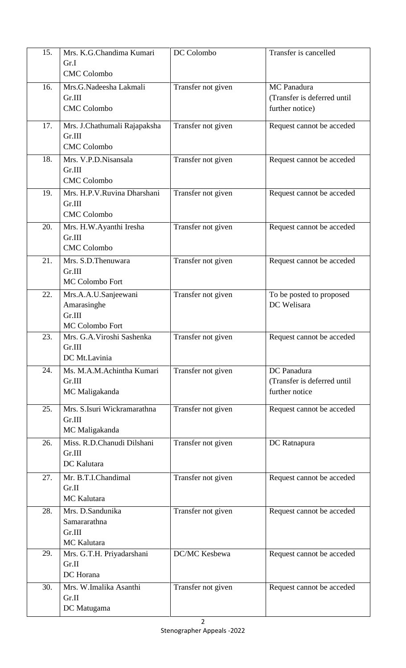| 15. | Mrs. K.G.Chandima Kumari<br>Gr.I<br><b>CMC</b> Colombo           | DC Colombo         | Transfer is cancelled                                         |
|-----|------------------------------------------------------------------|--------------------|---------------------------------------------------------------|
| 16. | Mrs.G.Nadeesha Lakmali<br>Gr.III<br><b>CMC</b> Colombo           | Transfer not given | MC Panadura<br>(Transfer is deferred until<br>further notice) |
| 17. | Mrs. J.Chathumali Rajapaksha<br>Gr.III<br><b>CMC</b> Colombo     | Transfer not given | Request cannot be acceded                                     |
| 18. | Mrs. V.P.D.Nisansala<br>Gr.III<br><b>CMC</b> Colombo             | Transfer not given | Request cannot be acceded                                     |
| 19. | Mrs. H.P.V.Ruvina Dharshani<br>Gr.III<br><b>CMC</b> Colombo      | Transfer not given | Request cannot be acceded                                     |
| 20. | Mrs. H.W.Ayanthi Iresha<br>Gr.III<br><b>CMC</b> Colombo          | Transfer not given | Request cannot be acceded                                     |
| 21. | Mrs. S.D.Thenuwara<br>Gr.III<br>MC Colombo Fort                  | Transfer not given | Request cannot be acceded                                     |
| 22. | Mrs.A.A.U.Sanjeewani<br>Amarasinghe<br>Gr.III<br>MC Colombo Fort | Transfer not given | To be posted to proposed<br>DC Welisara                       |
| 23. | Mrs. G.A. Viroshi Sashenka<br>Gr.III<br>DC Mt.Lavinia            | Transfer not given | Request cannot be acceded                                     |
| 24. | Ms. M.A.M.Achintha Kumari<br>Gr.III<br>MC Maligakanda            | Transfer not given | DC Panadura<br>(Transfer is deferred until<br>further notice  |
| 25. | Mrs. S.Isuri Wickramarathna<br>Gr.III<br>MC Maligakanda          | Transfer not given | Request cannot be acceded                                     |
| 26. | Miss. R.D.Chanudi Dilshani<br>Gr.III<br><b>DC</b> Kalutara       | Transfer not given | DC Ratnapura                                                  |
| 27. | Mr. B.T.I.Chandimal<br>Gr.II<br>MC Kalutara                      | Transfer not given | Request cannot be acceded                                     |
| 28. | Mrs. D.Sandunika<br>Samararathna<br>Gr.III<br>MC Kalutara        | Transfer not given | Request cannot be acceded                                     |
| 29. | Mrs. G.T.H. Priyadarshani<br>Gr.II<br>DC Horana                  | DC/MC Kesbewa      | Request cannot be acceded                                     |
| 30. | Mrs. W.Imalika Asanthi<br>Gr.II<br>DC Matugama                   | Transfer not given | Request cannot be acceded                                     |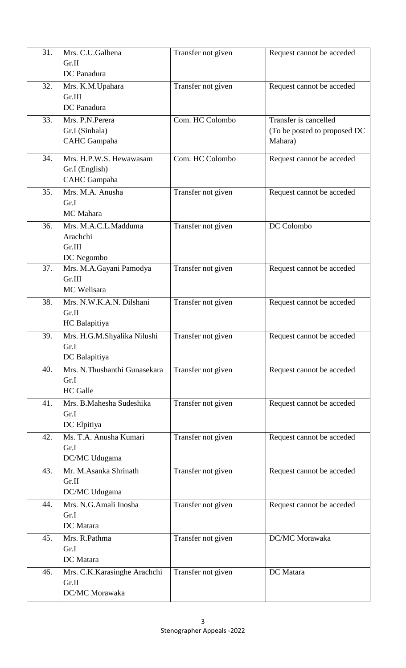| 31. | Mrs. C.U.Galhena<br>Gr.II             | Transfer not given | Request cannot be acceded    |
|-----|---------------------------------------|--------------------|------------------------------|
|     | DC Panadura                           |                    |                              |
| 32. | Mrs. K.M. Upahara                     | Transfer not given | Request cannot be acceded    |
|     | Gr.III<br>DC Panadura                 |                    |                              |
| 33. | Mrs. P.N.Perera                       | Com. HC Colombo    | Transfer is cancelled        |
|     | Gr.I (Sinhala)                        |                    | (To be posted to proposed DC |
|     | <b>CAHC</b> Gampaha                   |                    | Mahara)                      |
| 34. | Mrs. H.P.W.S. Hewawasam               | Com. HC Colombo    | Request cannot be acceded    |
|     | Gr.I (English)                        |                    |                              |
|     | <b>CAHC</b> Gampaha                   |                    |                              |
| 35. | Mrs. M.A. Anusha                      | Transfer not given | Request cannot be acceded    |
|     | Gr.I<br>MC Mahara                     |                    |                              |
| 36. | Mrs. M.A.C.L.Madduma                  | Transfer not given | DC Colombo                   |
|     | Arachchi                              |                    |                              |
|     | Gr.III                                |                    |                              |
|     | DC Negombo                            |                    |                              |
| 37. | Mrs. M.A.Gayani Pamodya<br>Gr.III     | Transfer not given | Request cannot be acceded    |
|     | MC Welisara                           |                    |                              |
| 38. | Mrs. N.W.K.A.N. Dilshani              | Transfer not given | Request cannot be acceded    |
|     | Gr.II                                 |                    |                              |
|     | HC Balapitiya                         |                    |                              |
| 39. | Mrs. H.G.M.Shyalika Nilushi           | Transfer not given | Request cannot be acceded    |
|     | Gr.I<br>DC Balapitiya                 |                    |                              |
| 40. | Mrs. N.Thushanthi Gunasekara          | Transfer not given | Request cannot be acceded    |
|     | Gr.I                                  |                    |                              |
|     | <b>HC</b> Galle                       |                    |                              |
| 41. | Mrs. B.Mahesha Sudeshika              | Transfer not given | Request cannot be acceded    |
|     | Gr.I                                  |                    |                              |
| 42. | DC Elpitiya<br>Ms. T.A. Anusha Kumari |                    |                              |
|     | Gr.I                                  | Transfer not given | Request cannot be acceded    |
|     | DC/MC Udugama                         |                    |                              |
| 43. | Mr. M.Asanka Shrinath                 | Transfer not given | Request cannot be acceded    |
|     | Gr.II                                 |                    |                              |
|     | DC/MC Udugama                         |                    |                              |
| 44. | Mrs. N.G.Amali Inosha<br>Gr.I         | Transfer not given | Request cannot be acceded    |
|     | DC Matara                             |                    |                              |
| 45. | Mrs. R.Pathma                         | Transfer not given | DC/MC Morawaka               |
|     | Gr.I                                  |                    |                              |
|     | DC Matara                             |                    |                              |
| 46. | Mrs. C.K.Karasinghe Arachchi          | Transfer not given | DC Matara                    |
|     | Gr.II<br>DC/MC Morawaka               |                    |                              |
|     |                                       |                    |                              |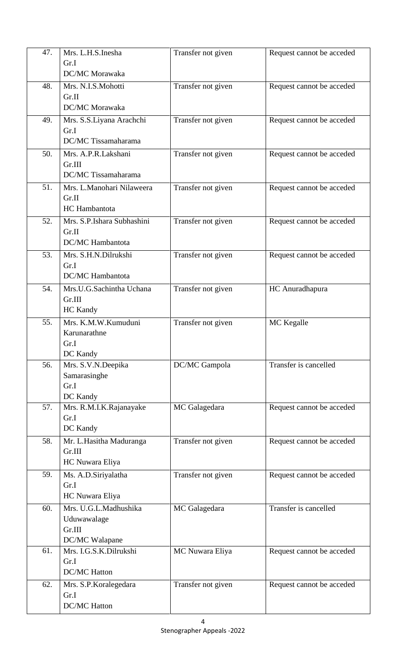| 47. | Mrs. L.H.S.Inesha          | Transfer not given | Request cannot be acceded |
|-----|----------------------------|--------------------|---------------------------|
|     | Gr.I                       |                    |                           |
|     | DC/MC Morawaka             |                    |                           |
| 48. | Mrs. N.I.S.Mohotti         |                    | Request cannot be acceded |
|     | Gr.II                      | Transfer not given |                           |
|     |                            |                    |                           |
|     | DC/MC Morawaka             |                    |                           |
| 49. | Mrs. S.S.Liyana Arachchi   | Transfer not given | Request cannot be acceded |
|     | Gr.I                       |                    |                           |
|     | DC/MC Tissamaharama        |                    |                           |
| 50. | Mrs. A.P.R.Lakshani        | Transfer not given | Request cannot be acceded |
|     | Gr.III                     |                    |                           |
|     | DC/MC Tissamaharama        |                    |                           |
| 51. | Mrs. L.Manohari Nilaweera  | Transfer not given | Request cannot be acceded |
|     | Gr.II                      |                    |                           |
|     | <b>HC</b> Hambantota       |                    |                           |
| 52. | Mrs. S.P.Ishara Subhashini | Transfer not given | Request cannot be acceded |
|     | Gr.II                      |                    |                           |
|     | DC/MC Hambantota           |                    |                           |
| 53. | Mrs. S.H.N.Dilrukshi       | Transfer not given |                           |
|     | Gr.I                       |                    | Request cannot be acceded |
|     | DC/MC Hambantota           |                    |                           |
|     |                            |                    |                           |
| 54. | Mrs.U.G.Sachintha Uchana   | Transfer not given | HC Anuradhapura           |
|     | Gr.III                     |                    |                           |
|     | <b>HC</b> Kandy            |                    |                           |
| 55. | Mrs. K.M.W.Kumuduni        | Transfer not given | MC Kegalle                |
|     | Karunarathne               |                    |                           |
|     | Gr.I                       |                    |                           |
|     | DC Kandy                   |                    |                           |
| 56. | Mrs. S.V.N.Deepika         | DC/MC Gampola      | Transfer is cancelled     |
|     | Samarasinghe               |                    |                           |
|     | Gr.I                       |                    |                           |
|     | DC Kandy                   |                    |                           |
| 57. | Mrs. R.M.I.K.Rajanayake    | MC Galagedara      | Request cannot be acceded |
|     | Gr.I                       |                    |                           |
|     | DC Kandy                   |                    |                           |
| 58. | Mr. L.Hasitha Maduranga    | Transfer not given | Request cannot be acceded |
|     | Gr.III                     |                    |                           |
|     | HC Nuwara Eliya            |                    |                           |
| 59. | Ms. A.D.Siriyalatha        | Transfer not given | Request cannot be acceded |
|     | Gr.I                       |                    |                           |
|     | HC Nuwara Eliya            |                    |                           |
| 60. | Mrs. U.G.L.Madhushika      | MC Galagedara      | Transfer is cancelled     |
|     | Uduwawalage                |                    |                           |
|     | Gr.III                     |                    |                           |
|     | DC/MC Walapane             |                    |                           |
| 61. | Mrs. I.G.S.K.Dilrukshi     | MC Nuwara Eliya    | Request cannot be acceded |
|     | Gr.I                       |                    |                           |
|     | <b>DC/MC Hatton</b>        |                    |                           |
|     |                            |                    |                           |
| 62. | Mrs. S.P. Koralegedara     | Transfer not given | Request cannot be acceded |
|     | Gr.I                       |                    |                           |
|     | <b>DC/MC Hatton</b>        |                    |                           |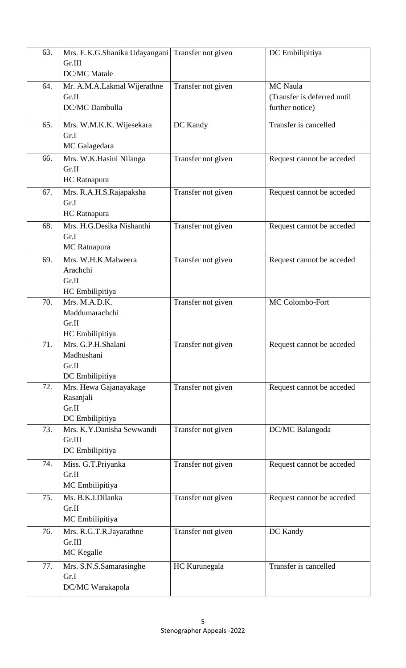| 63. | Mrs. E.K.G.Shanika Udayangani Transfer not given |                    | DC Embilipitiya             |
|-----|--------------------------------------------------|--------------------|-----------------------------|
|     | Gr.III                                           |                    |                             |
|     | <b>DC/MC</b> Matale                              |                    |                             |
| 64. | Mr. A.M.A.Lakmal Wijerathne                      | Transfer not given | <b>MC</b> Naula             |
|     | Gr.II                                            |                    | (Transfer is deferred until |
|     | DC/MC Dambulla                                   |                    | further notice)             |
|     |                                                  |                    |                             |
| 65. | Mrs. W.M.K.K. Wijesekara                         | DC Kandy           | Transfer is cancelled       |
|     | Gr.I                                             |                    |                             |
|     | MC Galagedara                                    |                    |                             |
| 66. | Mrs. W.K.Hasini Nilanga                          | Transfer not given | Request cannot be acceded   |
|     | Gr.II                                            |                    |                             |
|     | HC Ratnapura                                     |                    |                             |
| 67. | Mrs. R.A.H.S.Rajapaksha                          | Transfer not given | Request cannot be acceded   |
|     | Gr.I                                             |                    |                             |
|     | HC Ratnapura                                     |                    |                             |
| 68. | Mrs. H.G.Desika Nishanthi                        | Transfer not given | Request cannot be acceded   |
|     | Gr.I                                             |                    |                             |
|     | MC Ratnapura                                     |                    |                             |
| 69. | Mrs. W.H.K.Malweera                              | Transfer not given | Request cannot be acceded   |
|     | Arachchi                                         |                    |                             |
|     | Gr.II                                            |                    |                             |
|     | HC Embilipitiya                                  |                    |                             |
| 70. | Mrs. M.A.D.K.                                    | Transfer not given | MC Colombo-Fort             |
|     | Maddumarachchi                                   |                    |                             |
|     | Gr.II                                            |                    |                             |
|     | HC Embilipitiya                                  |                    |                             |
| 71. | Mrs. G.P.H.Shalani                               | Transfer not given | Request cannot be acceded   |
|     | Madhushani                                       |                    |                             |
|     | Gr.II                                            |                    |                             |
| 72. | DC Embilipitiya<br>Mrs. Hewa Gajanayakage        | Transfer not given | Request cannot be acceded   |
|     | Rasanjali                                        |                    |                             |
|     | Gr.II                                            |                    |                             |
|     | DC Embilipitiya                                  |                    |                             |
| 73. | Mrs. K.Y.Danisha Sewwandi                        | Transfer not given | DC/MC Balangoda             |
|     | Gr.III                                           |                    |                             |
|     | DC Embilipitiya                                  |                    |                             |
| 74. | Miss. G.T.Priyanka                               | Transfer not given | Request cannot be acceded   |
|     | Gr.II                                            |                    |                             |
|     | MC Embilipitiya                                  |                    |                             |
| 75. | Ms. B.K.I.Dilanka                                | Transfer not given | Request cannot be acceded   |
|     | Gr.II                                            |                    |                             |
|     | MC Embilipitiya                                  |                    |                             |
| 76. | Mrs. R.G.T.R.Jayarathne                          | Transfer not given | DC Kandy                    |
|     | Gr.III                                           |                    |                             |
|     | MC Kegalle                                       |                    |                             |
| 77. | Mrs. S.N.S.Samarasinghe                          | HC Kurunegala      | Transfer is cancelled       |
|     | Gr.I                                             |                    |                             |
|     | DC/MC Warakapola                                 |                    |                             |
|     |                                                  |                    |                             |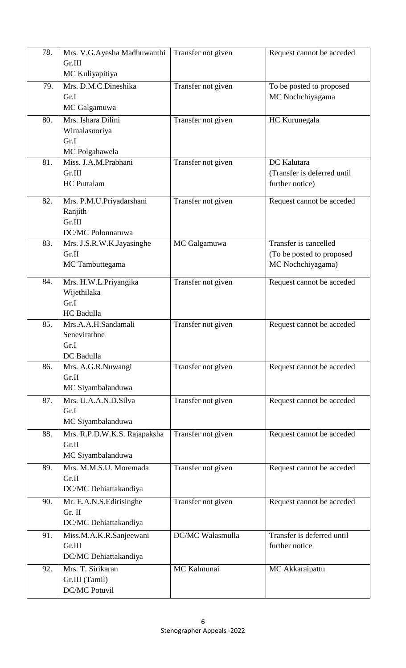| 78. | Mrs. V.G.Ayesha Madhuwanthi            | Transfer not given | Request cannot be acceded   |
|-----|----------------------------------------|--------------------|-----------------------------|
|     | Gr.III                                 |                    |                             |
|     | MC Kuliyapitiya                        |                    |                             |
| 79. | Mrs. D.M.C.Dineshika                   | Transfer not given | To be posted to proposed    |
|     | Gr.I                                   |                    | MC Nochchiyagama            |
|     | MC Galgamuwa                           |                    |                             |
| 80. | Mrs. Ishara Dilini                     | Transfer not given | HC Kurunegala               |
|     | Wimalasooriya                          |                    |                             |
|     | Gr.I                                   |                    |                             |
|     | MC Polgahawela                         |                    |                             |
| 81. | Miss. J.A.M.Prabhani                   | Transfer not given | DC Kalutara                 |
|     | Gr.III                                 |                    | (Transfer is deferred until |
|     | <b>HC</b> Puttalam                     |                    | further notice)             |
| 82. | Mrs. P.M.U.Priyadarshani               | Transfer not given | Request cannot be acceded   |
|     | Ranjith                                |                    |                             |
|     | Gr.III                                 |                    |                             |
|     | DC/MC Polonnaruwa                      |                    |                             |
| 83. | Mrs. J.S.R.W.K.Jayasinghe              | MC Galgamuwa       | Transfer is cancelled       |
|     | Gr.II                                  |                    | (To be posted to proposed   |
|     | MC Tambuttegama                        |                    | MC Nochchiyagama)           |
| 84. | Mrs. H.W.L.Priyangika                  | Transfer not given | Request cannot be acceded   |
|     | Wijethilaka                            |                    |                             |
|     | Gr.I                                   |                    |                             |
|     | HC Badulla                             |                    |                             |
| 85. | Mrs.A.A.H.Sandamali                    | Transfer not given | Request cannot be acceded   |
|     | Senevirathne                           |                    |                             |
|     | Gr.I                                   |                    |                             |
|     | DC Badulla                             |                    |                             |
| 86. | Mrs. A.G.R.Nuwangi                     | Transfer not given | Request cannot be acceded   |
|     | Gr.II                                  |                    |                             |
|     | MC Siyambalanduwa                      |                    |                             |
| 87. | Mrs. U.A.A.N.D.Silva                   | Transfer not given | Request cannot be acceded   |
|     | Gr.I                                   |                    |                             |
|     | MC Siyambalanduwa                      |                    |                             |
| 88. | Mrs. R.P.D.W.K.S. Rajapaksha           | Transfer not given | Request cannot be acceded   |
|     | Gr.II                                  |                    |                             |
|     | MC Siyambalanduwa                      |                    |                             |
| 89. | Mrs. M.M.S.U. Moremada                 | Transfer not given | Request cannot be acceded   |
|     | Gr.II                                  |                    |                             |
|     | DC/MC Dehiattakandiya                  |                    |                             |
| 90. | Mr. E.A.N.S. Edirisinghe               | Transfer not given | Request cannot be acceded   |
|     | Gr. II                                 |                    |                             |
|     | DC/MC Dehiattakandiya                  |                    |                             |
| 91. | Miss.M.A.K.R.Sanjeewani                | DC/MC Walasmulla   | Transfer is deferred until  |
|     | Gr.III                                 |                    | further notice              |
|     | DC/MC Dehiattakandiya                  |                    |                             |
| 92. | Mrs. T. Sirikaran                      | MC Kalmunai        | MC Akkaraipattu             |
|     | Gr.III (Tamil)<br><b>DC/MC Potuvil</b> |                    |                             |
|     |                                        |                    |                             |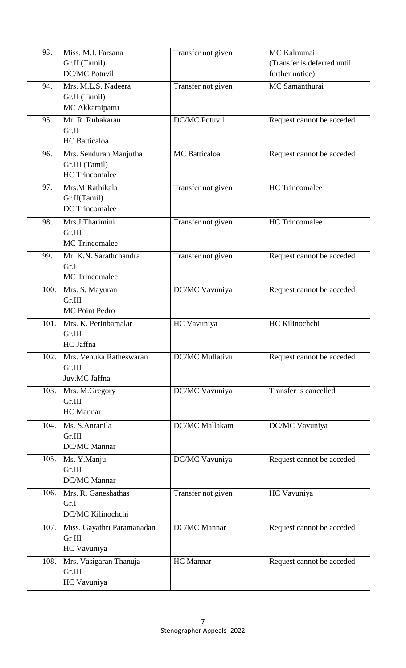| 93.  | Miss. M.I. Farsana         | Transfer not given    | MC Kalmunai                 |
|------|----------------------------|-----------------------|-----------------------------|
|      | Gr.II (Tamil)              |                       | (Transfer is deferred until |
|      | <b>DC/MC Potuvil</b>       |                       | further notice)             |
| 94.  | Mrs. M.L.S. Nadeera        | Transfer not given    | MC Samanthurai              |
|      | Gr.II (Tamil)              |                       |                             |
|      | MC Akkaraipattu            |                       |                             |
| 95.  | Mr. R. Rubakaran           | <b>DC/MC Potuvil</b>  | Request cannot be acceded   |
|      | Gr.II                      |                       |                             |
|      | <b>HC</b> Batticaloa       |                       |                             |
| 96.  | Mrs. Senduran Manjutha     | <b>MC</b> Batticaloa  | Request cannot be acceded   |
|      | Gr.III (Tamil)             |                       |                             |
|      | <b>HC</b> Trincomalee      |                       |                             |
| 97.  | Mrs.M.Rathikala            | Transfer not given    | <b>HC</b> Trincomalee       |
|      | Gr.II(Tamil)               |                       |                             |
|      | <b>DC</b> Trincomalee      |                       |                             |
| 98.  | Mrs.J.Tharimini            | Transfer not given    | <b>HC</b> Trincomalee       |
|      | Gr.III                     |                       |                             |
|      | <b>MC</b> Trincomalee      |                       |                             |
| 99.  | Mr. K.N. Sarathchandra     | Transfer not given    | Request cannot be acceded   |
|      | Gr.I                       |                       |                             |
|      | <b>MC</b> Trincomalee      |                       |                             |
| 100. | Mrs. S. Mayuran            | DC/MC Vavuniya        | Request cannot be acceded   |
|      | Gr.III                     |                       |                             |
|      | <b>MC Point Pedro</b>      |                       |                             |
| 101. | Mrs. K. Perinbamalar       | HC Vavuniya           | HC Kilinochchi              |
|      | Gr.III                     |                       |                             |
|      | HC Jaffna                  |                       |                             |
| 102. | Mrs. Venuka Ratheswaran    | DC/MC Mullativu       | Request cannot be acceded   |
|      | Gr.III                     |                       |                             |
|      | Juv.MC Jaffna              |                       |                             |
| 103. | Mrs. M.Gregory             | DC/MC Vavuniya        | Transfer is cancelled       |
|      | Gr.III                     |                       |                             |
|      | <b>HC</b> Mannar           |                       |                             |
| 104. | Ms. S.Anranila             | <b>DC/MC</b> Mallakam | DC/MC Vavuniya              |
|      | Gr.III                     |                       |                             |
|      | DC/MC Mannar               |                       |                             |
| 105. | Ms. Y.Manju                | DC/MC Vavuniya        | Request cannot be acceded   |
|      | Gr.III                     |                       |                             |
|      | DC/MC Mannar               |                       |                             |
| 106. | Mrs. R. Ganeshathas        | Transfer not given    | HC Vavuniya                 |
|      | Gr.I                       |                       |                             |
|      | DC/MC Kilinochchi          |                       |                             |
| 107. | Miss. Gayathri Paramanadan | <b>DC/MC</b> Mannar   | Request cannot be acceded   |
|      | Gr III                     |                       |                             |
|      | HC Vavuniya                |                       |                             |
| 108. | Mrs. Vasigaran Thanuja     | <b>HC</b> Mannar      | Request cannot be acceded   |
|      | Gr.III                     |                       |                             |
|      | HC Vavuniya                |                       |                             |